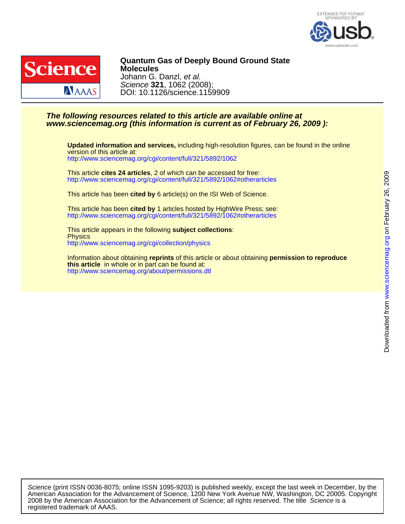



DOI: 10.1126/science.1159909 Science **321**, 1062 (2008); Johann G. Danzl, et al. **Molecules Quantum Gas of Deeply Bound Ground State**

### **www.sciencemag.org (this information is current as of February 26, 2009 ): The following resources related to this article are available online at**

<http://www.sciencemag.org/cgi/content/full/321/5892/1062> version of this article at: **Updated information and services,** including high-resolution figures, can be found in the online

<http://www.sciencemag.org/cgi/content/full/321/5892/1062#otherarticles> This article **cites 24 articles**, 2 of which can be accessed for free:

This article has been **cited by** 6 article(s) on the ISI Web of Science.

<http://www.sciencemag.org/cgi/content/full/321/5892/1062#otherarticles> This article has been **cited by** 1 articles hosted by HighWire Press; see:

<http://www.sciencemag.org/cgi/collection/physics> **Physics** This article appears in the following **subject collections**:

<http://www.sciencemag.org/about/permissions.dtl> **this article** in whole or in part can be found at: Information about obtaining **reprints** of this article or about obtaining **permission to reproduce**

registered trademark of AAAS. 2008 by the American Association for the Advancement of Science; all rights reserved. The title Science is a American Association for the Advancement of Science, 1200 New York Avenue NW, Washington, DC 20005. Copyright Science (print ISSN 0036-8075; online ISSN 1095-9203) is published weekly, except the last week in December, by the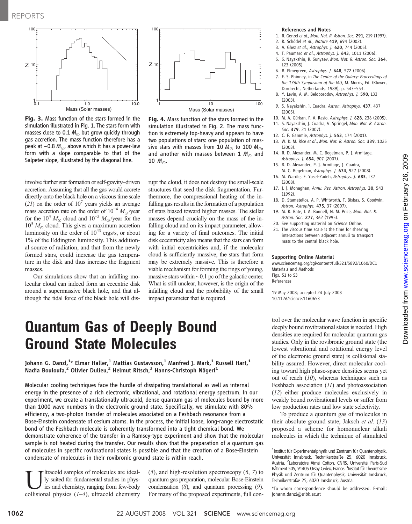

Fig. 3. Mass function of the stars formed in the simulation illustrated in Fig. 1. The stars form with masses close to 0.1  $M_{\odot}$  but grow quickly through gas accretion. The mass function therefore has a peak at ~0.8  $M_{\odot}$ , above which it has a power-law form with a slope comparable to that of the Salpeter slope, illustrated by the diagonal line.



Our simulations show that an infalling molecular cloud can indeed form an eccentric disk around a supermassive black hole, and that although the tidal force of the black hole will dis-



Fig. 4. Mass function of the stars formed in the simulation illustrated in Fig. 2. The mass function is extremely top-heavy and appears to have two populations of stars: one population of massive stars with masses from 10  $M_{\odot}$  to 100  $M_{\odot}$ , and another with masses between 1  $M_{\odot}$  and 10  $M_{\odot}$ .

rupt the cloud, it does not destroy the small-scale structures that seed the disk fragmentation. Furthermore, the compressional heating of the infalling gas results in the formation of a population of stars biased toward higher masses. The stellar masses depend crucially on the mass of the infalling cloud and on its impact parameter, allowing for a variety of final outcomes. The initial disk eccentricity also means that the stars can form with initial eccentricities and, if the molecular cloud is sufficiently massive, the stars that form may be extremely massive. This is therefore a viable mechanism for forming the rings of young, massive stars within  $\sim$  0.1 pc of the galactic center. What is still unclear, however, is the origin of the infalling cloud and the probability of the small impact parameter that is required.

### References and Notes

- 1. R. Genzel et al., Mon. Not. R. Astron. Soc. 291, 219 (1997).
- 2. R. Schödel et al., Nature 419, 694 (2002).
- 3. A. Ghez et al., Astrophys. J. 620, 744 (2005).
- 4. T. Paumard et al., Astrophys. J. 643, 1011 (2006).
- 5. S. Nayakshin, R. Sunyaev, Mon. Not. R. Astron. Soc. 364, L23 (2005).
- 6. B. Elmegreen, Astrophys. J. 648, 572 (2006).
- 7. E. S. Phinney, in The Center of the Galaxy: Proceedings of the 136th Symposium of the IAU, M. Morris, Ed. (Kluwer, Dordrecht, Netherlands, 1989), p. 543–553.
- 8. Y. Levin, A. M. Beloborodov, Astrophys. J. 590, L33 (2003).
- 9. S. Nayakshin, J. Cuadra, Astron. Astrophys. 437, 437 (2005).
- 10. M. A. Gürkan, F. A. Rasio, Astrophys. J. 628, 236 (2005). 11. S. Nayakshin, J. Cuadra, V. Springel, Mon. Not. R. Astron. Soc. 379, 21 (2007).
- 12. C. F. Gammie, Astrophys. J. 553, 174 (2001).
- 13. W. K. M. Rice et al., Mon. Not. R. Astron. Soc. 339, 1025 (2003).
- 14. R. D. Alexander, M. C. Begelman, P. J. Armitage, Astrophys. J. 654, 907 (2007).
- 15. R. D. Alexander, P. J. Armitage, J. Cuadra, M. C. Begelman, Astrophys. J. 674, 927 (2008).
- 16. M. Wardle, F. Yusef-Zadeh, Astrophys. J. 683, L37 (2008).
- 17. J. J. Monaghan, Annu. Rev. Astron. Astrophys. 30, 543 (1992).
- 18. D. Stamatellos, A. P. Whitworth, T. Bisbas, S. Goodwin, Astron. Astrophys. 475, 37 (2007).
- 19. M. R. Bate, I. A. Bonnell, N. M. Price, Mon. Not. R. Astron. Soc. 277, 362 (1995).
- 20. See supporting material on Science Online.
- 21. The viscous time scale is the time for shearing interactions between adjacent annuli to transport mass to the central black hole.

### Supporting Online Material

www.sciencemag.org/cgi/content/full/321/5892/1060/DC1 Materials and Methods Figs. S1 to S3 References

19 May 2008; accepted 24 July 2008 10.1126/science.1160653

## Quantum Gas of Deeply Bound Ground State Molecules

Johann G. Danzl, $^{1_\star}$  Elmar Haller, $^{1}$  Mattias Gustavsson, $^{1}$  Manfred J. Mark, $^{1}$  Russell Hart, $^{1}$ Nadia Bouloufa, $^2$  Olivier Dulieu, $^2$  Helmut Ritsch, $^3$  Hanns-Christoph Nägerl $^1$ 

Molecular cooling techniques face the hurdle of dissipating translational as well as internal energy in the presence of a rich electronic, vibrational, and rotational energy spectrum. In our experiment, we create a translationally ultracold, dense quantum gas of molecules bound by more than 1000 wave numbers in the electronic ground state. Specifically, we stimulate with 80% efficiency, a two-photon transfer of molecules associated on a Feshbach resonance from a Bose-Einstein condensate of cesium atoms. In the process, the initial loose, long-range electrostatic bond of the Feshbach molecule is coherently transformed into a tight chemical bond. We demonstrate coherence of the transfer in a Ramsey-type experiment and show that the molecular sample is not heated during the transfer. Our results show that the preparation of a quantum gas of molecules in specific rovibrational states is possible and that the creation of a Bose-Einstein condensate of molecules in their rovibronic ground state is within reach.

Ultracold samples of molecules are ideal-<br>ly suited for fundamental studies in physics and chemistry, ranging from few-body<br>collisional physics  $(1-4)$  ultracold chemistry ly suited for fundamental studies in physics and chemistry, ranging from few-body collisional physics  $(1-4)$ , ultracold chemistry (5), and high-resolution spectroscopy (6, 7) to quantum gas preparation, molecular Bose-Einstein condensation  $(8)$ , and quantum processing  $(9)$ . For many of the proposed experiments, full control over the molecular wave function in specific deeply bound rovibrational states is needed. High densities are required for molecular quantum gas studies. Only in the rovibronic ground state (the lowest vibrational and rotational energy level of the electronic ground state) is collisional stability assured. However, direct molecular cooling toward high phase-space densities seems yet out of reach  $(10)$ , whereas techniques such as Feshbach association (11) and photoassociation (12) either produce molecules exclusively in weakly bound rovibrational levels or suffer from low production rates and low state selectivity.

To produce a quantum gas of molecules in their absolute ground state, Jaksch et al. (13) proposed a scheme for homonuclear alkali molecules in which the technique of stimulated

<sup>&</sup>lt;sup>1</sup>Institut für Experimentalphysik und Zentrum für Quantenphysik, Universität Innsbruck, Technikerstraße 25, 6020 Innsbruck, Austria. <sup>2</sup> Laboratoire Aimé Cotton, CNRS, Université Paris-Sud Bâtiment 505, 91405 Orsay Cedex, France. <sup>3</sup>Institut für Theoretische Physik und Zentrum für Quantenphysik, Universität Innsbruck, Technikerstraße 25, 6020 Innsbruck, Austria.

<sup>\*</sup>To whom correspondence should be addressed. E-mail: johann.danzl@uibk.ac.at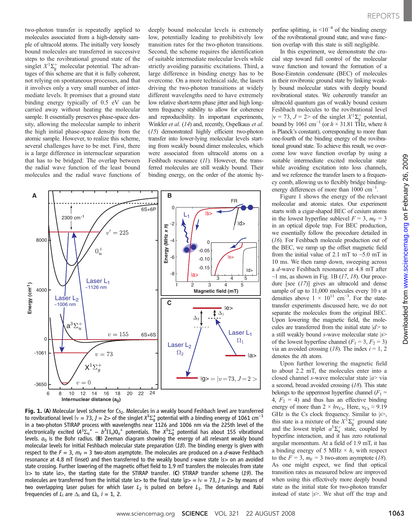two-photon transfer is repeatedly applied to molecules associated from a high-density sample of ultracold atoms. The initially very loosely bound molecules are transferred in successive steps to the rovibrational ground state of the singlet  $X^1\Sigma_g^+$  molecular potential. The advantages of this scheme are that it is fully coherent, not relying on spontaneous processes, and that it involves only a very small number of intermediate levels. It promises that a ground state binding energy typically of 0.5 eV can be carried away without heating the molecular sample. It essentially preserves phase-space density, allowing the molecular sample to inherit the high initial phase-space density from the atomic sample. However, to realize this scheme, several challenges have to be met. First, there is a large difference in internuclear separation that has to be bridged: The overlap between the radial wave function of the least bound molecules and the radial wave functions of deeply bound molecular levels is extremely low, potentially leading to prohibitively low transition rates for the two-photon transitions. Second, the scheme requires the identification of suitable intermediate molecular levels while strictly avoiding parasitic excitations. Third, a large difference in binding energy has to be overcome. On a more technical side, the lasers driving the two-photon transitions at widely different wavelengths need to have extremely low relative short-term phase jitter and high longterm frequency stability to allow for coherence and reproducibility. In important experiments, Winkler et al. (14) and, recently, Ospelkaus et al. (15) demonstrated highly efficient two-photon transfer into lower-lying molecular levels starting from weakly bound dimer molecules, which were associated from ultracold atoms on a Feshbach resonance (11). However, the transferred molecules are still weakly bound. Their binding energy, on the order of the atomic hy-



Fig. 1. (A) Molecular level scheme for Cs<sub>2</sub>. Molecules in a weakly bound Feshbach level are transferred to rovibrational level  $|v = 73$ ,  $J = 2$ > of the singlet  $X^1\Sigma^+_9$  potential with a binding energy of 1061 cm<sup>-1</sup> in a two-photon STIRAP process with wavelengths near 1126 and 1006 nm via the 225th level of the electronically excited  $\langle A^{\dot{1}}\Sigma_{\sf u}^+ - b^3\Pi_{\sf u}\rangle{\sf 0}_{\sf u}^+$  potentials. The  $X^{\dot{1}}\Sigma_{\sf g}^+$  potential has about 155 vibrational levels.  $a_0$  is the Bohr radius. (B) Zeeman diagram showing the energy of all relevant weakly bound molecular levels for initial Feshbach molecular state preparation  $(18)$ . The binding energy is given with respect to the  $F = 3$ ,  $m_F = 3$  two-atom asymptote. The molecules are produced on a d-wave Feshbach resonance at 4.8 mT (inset) and then transferred to the weakly bound s-wave state |s> on an avoided state crossing. Further lowering of the magnetic offset field to 1.9 mT transfers the molecules from state  $|s>$  to state  $|a>$ , the starting state for the STIRAP transfer. (C) STIRAP transfer scheme (19). The molecules are transferred from the initial state  $|a>$  to the final state  $|a>$  =  $|v = 73$ ,  $J = 2>$  by means of two overlapping laser pulses for which laser  $L_2$  is pulsed on before  $L_1$ . The detunings and Rabi frequencies of  $L_i$  are  $\Delta_i$  and  $\Omega_i$ ,  $i = 1$ , 2.

perfine splitting, is  $\leq 10^{-4}$  of the binding energy of the rovibrational ground state, and wave function overlap with this state is still negligible.

In this experiment, we demonstrate the crucial step toward full control of the molecular wave function and toward the formation of a Bose-Einstein condensate (BEC) of molecules in their rovibronic ground state by linking weakly bound molecular states with deeply bound rovibrational states. We coherently transfer an ultracold quantum gas of weakly bound cesium Feshbach molecules to the rovibrational level  $|v = 73$ ,  $J = 2$ > of the singlet  $X^1\Sigma_g^+$  potential, bound by 1061 cm<sup>-1</sup> (or  $h \times 31.81$  THz, where h is Planck's constant), corresponding to more than one-fourth of the binding energy of the rovibrational ground state. To achieve this result, we overcome low wave function overlap by using a suitable intermediate excited molecular state while avoiding excitation into loss channels, and we reference the transfer lasers to a frequency comb, allowing us to flexibly bridge bindingenergy differences of more than 1000 cm<sup>-1</sup>.

Figure 1 shows the energy of the relevant molecular and atomic states. Our experiment starts with a cigar-shaped BEC of cesium atoms in the lowest hyperfine sublevel  $F = 3$ ,  $m_F = 3$ in an optical dipole trap. For BEC production, we essentially follow the procedure detailed in (16). For Feshbach molecule production out of the BEC, we ramp up the offset magnetic field from the initial value of 2.1 mT to  $\sim$ 5.0 mT in 10 ms. We then ramp down, sweeping across a d-wave Feshbach resonance at 4.8 mT after  $\sim$ 1 ms, as shown in Fig. 1B (17, 18). Our procedure [see  $(17)$ ] gives an ultracold and dense sample of up to 11,000 molecules every 10 s at densities above  $1 \times 10^{11}$  cm<sup>-3</sup>. For the statetransfer experiments discussed here, we do not separate the molecules from the original BEC. Upon lowering the magnetic field, the molecules are transferred from the initial state  $|d\rangle$  to a still weakly bound s-wave molecular state |s> of the lowest hyperfine channel  $(F_1 = 3, F_2 = 3)$ via an avoided crossing (18). The index  $i = 1, 2$ denotes the ith atom.

Upon further lowering the magnetic field to about 2.2 mT, the molecules enter into a closed channel s-wave molecular state  $|a\rangle$  via a second, broad avoided crossing (18). This state belongs to the uppermost hyperfine channel  $(F_1 =$ 4,  $F_2 = 4$ ) and thus has an effective binding energy of more than  $2 \times hv_{Cs}$ . Here,  $v_{Cs} \approx 9.19$ GHz is the Cs clock frequency. Similar to  $|s\rangle$ , this state is a mixture of the  $X^1\Sigma_g^+$  ground state and the lowest triplet  $a^3\Sigma_u^+$  state, coupled by hyperfine interaction, and it has zero rotational angular momentum. At a field of 1.9 mT, it has a binding energy of 5 MHz  $\times h$ , with respect to the  $F = 3$ ,  $m_F = 3$  two-atom asymptote (18). As one might expect, we find that optical transition rates as measured below are improved when using this effectively more deeply bound state as the initial state for two-photon transfer instead of state  $|s\rangle$ . We shut off the trap and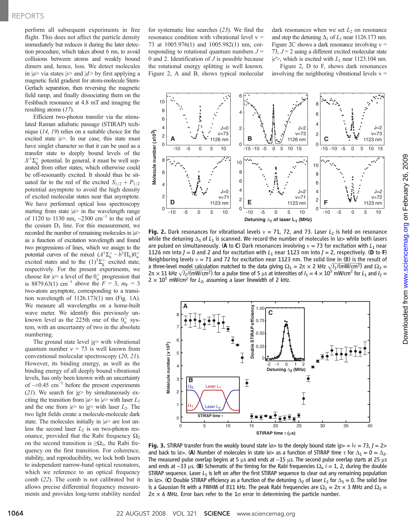perform all subsequent experiments in free flight. This does not affect the particle density immediately but reduces it during the later detection procedure, which takes about 6 ms, to avoid collisions between atoms and weakly bound dimers and, hence, loss. We detect molecules in  $|a\rangle$  via states  $|s\rangle$  and  $|d\rangle$  by first applying a magnetic field gradient for atom-molecule Stern-Gerlach separation, then reversing the magnetic field ramp, and finally dissociating them on the Feshbach resonance at 4.8 mT and imaging the resulting atoms (17).

Efficient two-photon transfer via the stimulated Raman adiabatic passage (STIRAP) technique (14, 19) relies on a suitable choice for the excited state  $|e\rangle$ . In our case, this state must have singlet character so that it can be used as a transfer state to deeply bound levels of the  $X^1\Sigma_g^+$  potential. In general, it must be well separated from other states, which otherwise could be off-resonantly excited. It should thus be situated far to the red of the excited  $S_{1/2}+P_{1/2}$ potential asymptote to avoid the high density of excited molecular states near that asymptote. We have performed optical loss spectroscopy starting from state  $|a\rangle$  in the wavelength range of 1120 to 1130 nm, ~2300 cm<sup>-1</sup> to the red of the cesium  $D_1$  line. For this measurement, we recorded the number of remaining molecules in  $|a\rangle$ as a function of excitation wavelength and found two progressions of lines, which we assign to the potential curves of the mixed  $(A^1\Sigma_u^+ - b^3\Pi_u)0_u^+$ excited states and to the  $(1)^3\Sigma_g^+$  excited state, respectively. For the present experiments, we choose for  $|e\rangle$  a level of the  $0<sub>u</sub><sup>+</sup>$  progression that is 8879.63(1) cm<sup>-1</sup> above the  $F = 3$ ,  $m_F = 3$ two-atom asymptote, corresponding to a transition wavelength of 1126.173(1) nm (Fig. 1A). We measure all wavelengths on a home-built wave meter. We identify this previously unknown level as the 225th one of the  $0<sub>u</sub><sup>+</sup>$  system, with an uncertainty of two in the absolute numbering.

The ground state level  $|g\rangle$  with vibrational quantum number  $v = 73$  is well known from conventional molecular spectroscopy (20, 21). However, its binding energy, as well as the binding energy of all deeply bound vibrational levels, has only been known with an uncertainty of  $\sim \pm 0.45$  cm<sup>-1</sup> before the present experiments (21). We search for  $|g\rangle$  by simultaneously exciting the transition from  $|a\rangle$  to  $|e\rangle$  with laser  $L_1$ and the one from  $|e\rangle$  to  $|g\rangle$  with laser  $L_2$ . The two light fields create a molecule-molecule dark state. The molecules initially in  $|a\rangle$  are lost unless the second laser  $L_2$  is on two-photon resonance, provided that the Rabi frequency  $\Omega_2$ on the second transition is  $\geq \Omega_1$ , the Rabi frequency on the first transition. For coherence, stability, and reproducibility, we lock both lasers to independent narrow-band optical resonators, which we reference to an optical frequency comb (22). The comb is not calibrated but it allows precise differential frequency measurements and provides long-term stability needed for systematic line searches (23). We find the resonance condition with vibrational level  $v =$ 73 at 1005.976(1) and 1005.982(1) nm, corresponding to rotational quantum numbers  $J =$ 0 and 2. Identification of  $J$  is possible because the rotational energy splitting is well known. Figure 2, A and B, shows typical molecular

dark resonances when we set  $L_2$  on resonance and step the detuning  $\Delta_1$  of  $L_1$  near 1126.173 nm. Figure 2C shows a dark resonance involving  $v =$ 73,  $J = 2$  using a different excited molecular state  $|e^{\prime\prime}\rangle$ , which is excited with  $L_1$  near 1123.104 nm. Figure 2, D to F, shows dark resonances

involving the neighboring vibrational levels  $v =$ 



Fig. 2. Dark resonances for vibrational levels  $v = 71$ , 72, and 73. Laser  $L<sub>2</sub>$  is held on resonance while the detuning  $\Delta_1$  of  $L_1$  is scanned. We record the number of molecules in  $|a>$  while both lasers are pulsed on simultaneously. (A to C) Dark resonances involving  $v = 73$  for excitation with  $L_1$  near 1126 nm into  $J = 0$  and 2 and for excitation with  $L_1$  near 1123 nm into  $J = 2$ , respectively. (**D** to **F**) Neighboring levels  $v = 71$  and 72 for excitation near 1123 nm. The solid line in (B) is the result of a three-level model calculation matched to the data giving  $\Omega_1 = 2\pi \times 2$  kHz  $\sqrt{I_1/(mW/cm^2)}$  and  $\Omega_2 =$  $2\pi \times 11$  kHz  $\sqrt{I_2/(mW/cm^2)}$  for a pulse time of 5 µs at intensities of  $I_1 = 4 \times 10^5$  mW/cm<sup>2</sup> for L<sub>1</sub> and  $I_2 = 2\pi$  $2 \times 10^{5}$  mW/cm<sup>2</sup> for  $L_{2}$ , assuming a laser linewidth of 2 kHz.



Fig. 3. STIRAP transfer from the weakly bound state  $|a>$  to the deeply bound state  $|a>=|v=73$ ,  $l=2>$ and back to  $|a>$ . (A) Number of molecules in state  $|a>$  as a function of STIRAP time  $\tau$  for  $\Delta_1 \approx 0 \approx \Delta_2$ . The measured pulse overlap begins at 5  $\mu$ s and ends at ~15  $\mu$ s. The second pulse overlap starts at 25  $\mu$ s and ends at ~33 µs. (**B**) Schematic of the timing for the Rabi frequencies  $\Omega_i$ ,  $i = 1$ , 2, during the double STIRAP sequence I aser *L*, is left on after the first STIRAP sequence to clear out any remaining population STIRAP sequence. Laser  $L_1$  is left on after the first STIRAP sequence to clear out any remaining population in  $|a>$ . (C) Double STIRAP efficiency as a function of the detuning  $\Delta_2$  of laser  $L_2$  for  $\Delta_1 \approx 0$ . The solid line is a Gaussian fit with a FWHM of 811 kHz. The peak Rabi frequencies are  $\Omega_1 \approx 2\pi \times 3$  MHz and  $\Omega_2 \approx$  $2\pi \times 6$  MHz. Error bars refer to the 1 $\sigma$  error in determining the particle number.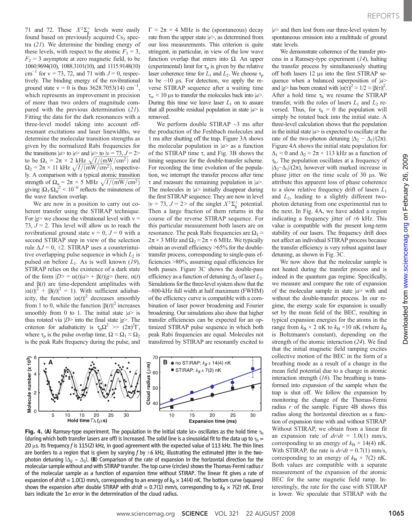71 and 72. These  $X^1\Sigma_g^+$  levels were easily found based on previously acquired  $Cs<sub>2</sub>$  spectra  $(21)$ . We determine the binding energy of these levels, with respect to the atomic  $F_1 = 3$ ,  $F_2$  = 3 asymptote at zero magnetic field, to be 1060.9694(10), 1088.3101(10), and 1115.9148(10) cm<sup>-1</sup> for  $v = 73, 72,$  and 71 with  $J = 0$ , respectively. The binding energy of the rovibrational ground state  $v = 0$  is thus 3628.7053(14) cm<sup>-1</sup>, which represents an improvement in precision of more than two orders of magnitude compared with the previous determination (21). Fitting the data for the dark resonances with a three-level model taking into account offresonant excitations and laser linewidths, we determine the molecular transition strengths as given by the normalized Rabi frequencies for the transitions  $|a\rangle$  to  $|e\rangle$  and  $|e\rangle$  to  $|v = 73, J = 2>$ to be  $\Omega_1 = 2\pi \times 2 \text{ kHz } \sqrt{I/(mW/cm^2)}$  and  $\Omega_2 = 2\pi \times 11 \text{ kHz } \sqrt{I/(mW/cm^2)}$ , respectively. A comparison with a typical atomic transition strength of  $\Omega_a = 2\pi \times 5$  MHz  $\sqrt{I/(mW/cm^2)}$ giving  $|\Omega_1/\Omega_a|^2 < 10^{-6}$  reflects the minuteness of the wave function overlap.

We are now in a position to carry out coherent transfer using the STIRAP technique. For  $|g\rangle$  we choose the vibrational level with  $v =$ 73,  $J = 2$ . This level will allow us to reach the rovibrational ground state  $v = 0$ ,  $J = 0$  with a second STIRAP step in view of the selection rule  $\Delta J = 0$ ,  $\pm 2$ . STIRAP uses a counterintuitive overlapping pulse sequence in which  $L_2$  is pulsed on before  $L_1$ . As is well known (19), STIRAP relies on the existence of a dark state of the form  $|D\rangle = \alpha(t)|a\rangle + \beta(t)|g\rangle$  (here,  $\alpha(t)$ ) and  $\beta(t)$  are time-dependent amplitudes with  $|\alpha(t)|^2 + |\beta(t)|^2 = 1$ ). With sufficient adiabaticity, the function  $|\alpha(t)|^2$  decreases smoothly from 1 to 0, while the function  $|\beta(t)|^2$  increases smoothly from 0 to 1. The initial state  $|a\rangle$  is thus rotated via  $|D\rangle$  into the final state  $|g\rangle$ . The criterion for adiabaticity is  $\tau_p \Omega^2 \gg (2\pi)^2 \Gamma$ , where  $\tau_p$  is the pulse overlap time,  $\Omega \approx \Omega_1 \approx \Omega_2$ is the peak Rabi frequency during the pulse, and  $\Gamma \approx 2\pi \times 4$  MHz is the (spontaneous) decay rate from the upper state  $|e\rangle$ , as determined from our loss measurements. This criterion is quite stringent, in particular, in view of the low wave function overlap that enters into  $\Omega$ . An upper (experimental) limit for  $\tau_p$  is given by the relative laser coherence time for  $\bar{L}_1$  and  $\bar{L}_2$ . We choose  $\tau_p$ to be  $\sim$ 10 µs. For detection, we apply the reverse STIRAP sequence after a waiting time  $\tau_w \approx 10 \,\mu s$  to transfer the molecules back into  $|a\rangle$ . During this time we leave laser  $L_1$  on to assure that all possible residual population in state  $|a\rangle$  is removed.

We perform double STIRAP  $\sim$ 3 ms after the production of the Feshbach molecules and 1 ms after shutting off the trap. Figure 3A shows the molecular population in  $|a\rangle$  as a function of the STIRAP time  $\tau$ , and Fig. 3B shows the timing sequence for the double-transfer scheme. For recording the time evolution of the population, we interrupt the transfer process after time  $\tau$  and measure the remaining population in  $|a\rangle$ . The molecules in  $|a\rangle$  initially disappear during the first STIRAP sequence. They are now in level  $|v = 73$ ,  $J = 2$  of the singlet  $X^1 \Sigma_g^+$  potential. Then a large fraction of them returns in the course of the reverse STIRAP sequence. For this particular measurement both lasers are on resonance. The peak Rabi frequencies are  $\Omega_1 \approx$  $2\pi \times 3$  MHz and  $\Omega_2 \approx 2\pi \times 6$  MHz. We typically obtain an overall efficiency >65% for the doubletransfer process, corresponding to single-pass efficiencies >80%, assuming equal efficiencies for both passes. Figure 3C shows the double-pass efficiency as a function of detuning  $\Delta_2$  of laser  $L_2$ . Simulations for the three-level system show that the ~800-kHz full width at half maximum (FWHM) of the efficiency curve is compatible with a combination of laser power broadening and Fourier broadening. Our simulations also show that higher transfer efficiencies can be expected for an optimized STIRAP pulse sequence in which both peak Rabi frequencies are equal. Molecules not transferred by STIRAP are resonantly excited to



Fig. 4. (A) Ramsey-type experiment. The population in the initial state  $|a>$  oscillates as the hold time  $\tau_h$ (during which both transfer lasers are off) is increased. The solid line is a sinusoidal fit to the data up to  $\tau_h$  = 20  $\mu$ s. Its frequency f is 115(2) kHz, in good agreement with the expected value of 113 kHz. The thin lines are borders to a region that is given by varying f by  $\pm 6$  kHz, illustrating the estimated jitter in the twophoton detuning  $|\Delta_2 - \Delta_1|$ . (B) Comparison of the rate of expansion in the horizontal direction for the molecular sample without and with STIRAP transfer. The top curve (circles) shows the Thomas-Fermi radius r of the molecular sample as a function of expansion time without STIRAP. The linear fit gives a rate of expansion of  $dr/dt = 1.0(1)$  mm/s, corresponding to an energy of  $k_B \times 14(4)$  nK. The bottom curve (squares) shows the expansion after double STIRAP with  $dr/dt = 0.7(1)$  mm/s, corresponding to  $k_B \times 7(2)$  nK. Error bars indicate the  $1\sigma$  error in the determination of the cloud radius.

 $|e\rangle$  and then lost from our three-level system by spontaneous emission into a multitude of ground state levels.

We demonstrate coherence of the transfer process in a Ramsey-type experiment (14), halting the transfer process by simultaneously shutting off both lasers  $12 \mu s$  into the first STIRAP sequence when a balanced superposition of  $|a\rangle$ and  $|g\rangle$  has been created with  $|\alpha(\tau)|^2 \approx 1/2 \approx |\beta(\tau)|^2$ . After a hold time  $\tau_h$  we resume the STIRAP transfer, with the roles of lasers  $L_1$  and  $L_2$  reversed. Thus, for  $\tau_h = 0$  the population will simply be rotated back into the initial state. A three-level calculation shows that the population in the initial state  $|a\rangle$  is expected to oscillate at the rate of the two-photon detuning  $|\Delta_2 - \Delta_1|/(2\pi)$ . Figure 4A shows the initial state population for  $\Delta_1 \approx 0$  and  $\Delta_2 \approx 2\pi \times 113$  kHz as a function of  $\tau_{h}$ . The population oscillates at a frequency of  $|\Delta_2-\Delta_1|/(2\pi)$ , however with marked increase in phase jitter on the time scale of 30 us. We attribute this apparent loss of phase coherence to a slow relative frequency drift of lasers  $L_1$ and  $L_2$ , leading to a slightly different twophoton detuning from one experimental run to the next. In Fig. 4A, we have added a region indicating a frequency jitter of  $\pm 6$  kHz. This value is compatible with the present long-term stability of our lasers. The frequency drift does not affect an individual STIRAP process because the transfer efficiency is very robust against laser detuning, as shown in Fig. 3C.

We now show that the molecular sample is not heated during the transfer process and is indeed in the quantum gas regime. Specifically, we measure and compare the rate of expansion of the molecular sample in state  $|a\rangle$  with and without the double-transfer process. In our regime, the energy scale for expansion is usually set by the mean field of the BEC, resulting in typical expansion energies for the atoms in the range from  $k_B \times 2$  nK to  $k_B \times 10$  nK (where  $k_B$ is Boltzmann's constant), depending on the strength of the atomic interaction (24). We find that the initial magnetic field ramping excites collective motion of the BEC in the form of a breathing mode as a result of a change in the mean field potential due to a change in atomic interaction strength  $(16)$ . The breathing is transformed into expansion of the sample when the trap is shut off. We follow the expansion by monitoring the change of the Thomas-Fermi radius  $r$  of the sample. Figure 4B shows this radius along the horizontal direction as a function of expansion time with and without STIRAP. Without STIRAP, we obtain from a linear fit an expansion rate of  $dr/dt = 1.0(1)$  mm/s, corresponding to an energy of  $k_{\text{B}} \times 14(4)$  nK. With STIRAP, the rate is  $dr/dt = 0.7(1)$  mm/s, corresponding to an energy of  $k_{\text{B}} \times 7(2)$  nK. Both values are compatible with a separate measurement of the expansion of the atomic BEC for the same magnetic field ramp. Interestingly, the rate for the case with STIRAP is lower. We speculate that STIRAP with the